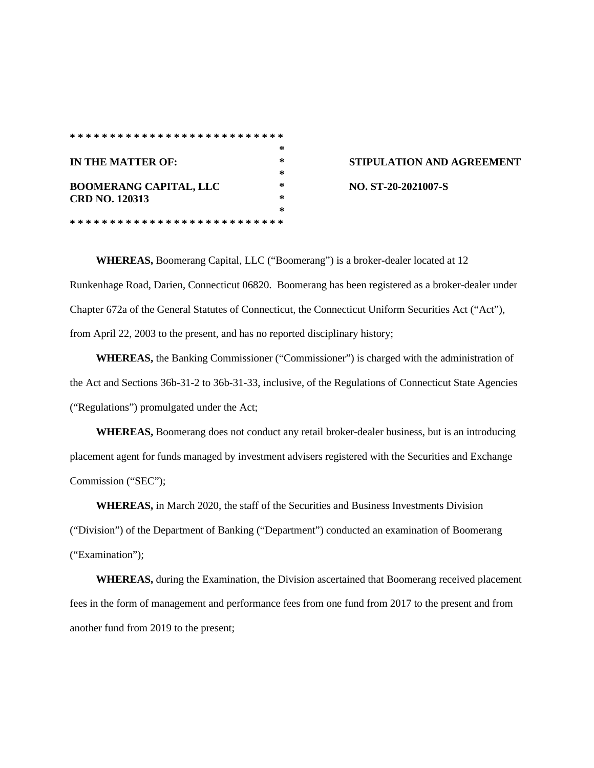|                               | ∗ |
|-------------------------------|---|
| IN THE MATTER OF:             | * |
|                               | * |
| <b>BOOMERANG CAPITAL, LLC</b> | ∗ |
| <b>CRD NO. 120313</b>         | * |
|                               | ∗ |
|                               |   |

## **ISTIPULATION AND AGREEMENT BOOMERANG CAPITAL, LLC \* NO. ST-20-2021007-S**

**WHEREAS,** Boomerang Capital, LLC ("Boomerang") is a broker-dealer located at 12 Runkenhage Road, Darien, Connecticut 06820. Boomerang has been registered as a broker-dealer under Chapter 672a of the General Statutes of Connecticut, the Connecticut Uniform Securities Act ("Act"), from April 22, 2003 to the present, and has no reported disciplinary history;

**WHEREAS,** the Banking Commissioner ("Commissioner") is charged with the administration of the Act and Sections 36b-31-2 to 36b-31-33, inclusive, of the Regulations of Connecticut State Agencies ("Regulations") promulgated under the Act;

**WHEREAS,** Boomerang does not conduct any retail broker-dealer business, but is an introducing placement agent for funds managed by investment advisers registered with the Securities and Exchange Commission ("SEC");

**WHEREAS,** in March 2020, the staff of the Securities and Business Investments Division ("Division") of the Department of Banking ("Department") conducted an examination of Boomerang ("Examination");

**WHEREAS,** during the Examination, the Division ascertained that Boomerang received placement fees in the form of management and performance fees from one fund from 2017 to the present and from another fund from 2019 to the present;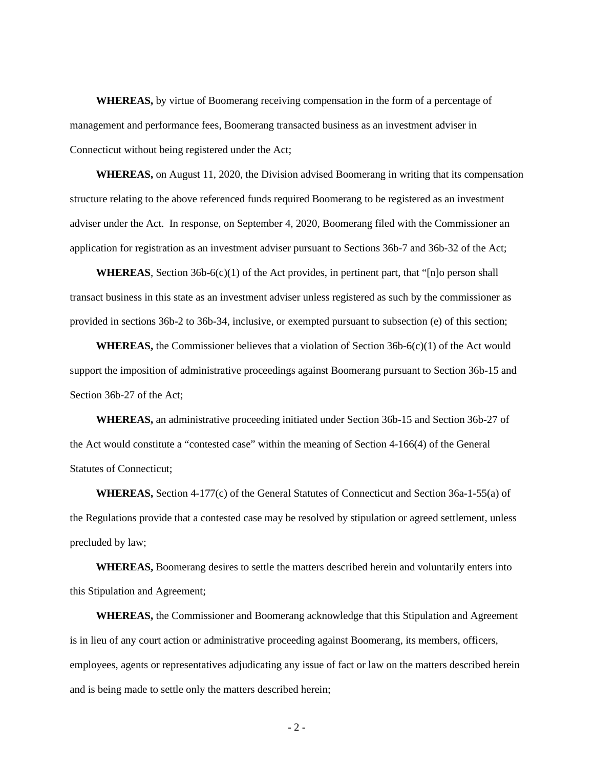**WHEREAS,** by virtue of Boomerang receiving compensation in the form of a percentage of management and performance fees, Boomerang transacted business as an investment adviser in Connecticut without being registered under the Act;

**WHEREAS,** on August 11, 2020, the Division advised Boomerang in writing that its compensation structure relating to the above referenced funds required Boomerang to be registered as an investment adviser under the Act. In response, on September 4, 2020, Boomerang filed with the Commissioner an application for registration as an investment adviser pursuant to Sections 36b-7 and 36b-32 of the Act;

**WHEREAS**, Section 36b-6(c)(1) of the Act provides, in pertinent part, that "[n]o person shall transact business in this state as an investment adviser unless registered as such by the commissioner as provided in sections 36b-2 to 36b-34, inclusive, or exempted pursuant to subsection (e) of this section;

**WHEREAS,** the Commissioner believes that a violation of Section 36b-6(c)(1) of the Act would support the imposition of administrative proceedings against Boomerang pursuant to Section 36b-15 and Section 36b-27 of the Act;

**WHEREAS,** an administrative proceeding initiated under Section 36b-15 and Section 36b-27 of the Act would constitute a "contested case" within the meaning of Section 4-166(4) of the General Statutes of Connecticut;

**WHEREAS,** Section 4-177(c) of the General Statutes of Connecticut and Section 36a-1-55(a) of the Regulations provide that a contested case may be resolved by stipulation or agreed settlement, unless precluded by law;

**WHEREAS,** Boomerang desires to settle the matters described herein and voluntarily enters into this Stipulation and Agreement;

**WHEREAS,** the Commissioner and Boomerang acknowledge that this Stipulation and Agreement is in lieu of any court action or administrative proceeding against Boomerang, its members, officers, employees, agents or representatives adjudicating any issue of fact or law on the matters described herein and is being made to settle only the matters described herein;

- 2 -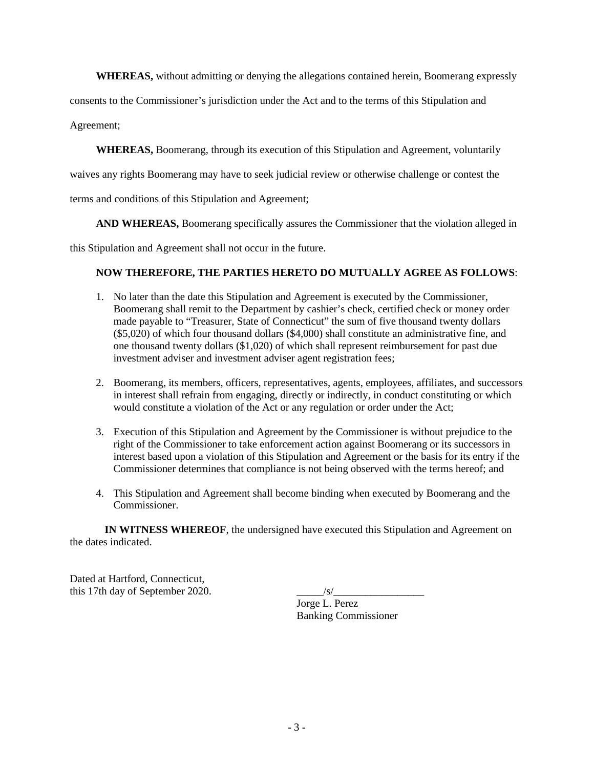**WHEREAS,** without admitting or denying the allegations contained herein, Boomerang expressly

consents to the Commissioner's jurisdiction under the Act and to the terms of this Stipulation and

Agreement;

**WHEREAS,** Boomerang, through its execution of this Stipulation and Agreement, voluntarily

waives any rights Boomerang may have to seek judicial review or otherwise challenge or contest the

terms and conditions of this Stipulation and Agreement;

**AND WHEREAS,** Boomerang specifically assures the Commissioner that the violation alleged in

this Stipulation and Agreement shall not occur in the future.

## **NOW THEREFORE, THE PARTIES HERETO DO MUTUALLY AGREE AS FOLLOWS**:

- 1. No later than the date this Stipulation and Agreement is executed by the Commissioner, Boomerang shall remit to the Department by cashier's check, certified check or money order made payable to "Treasurer, State of Connecticut" the sum of five thousand twenty dollars (\$5,020) of which four thousand dollars (\$4,000) shall constitute an administrative fine, and one thousand twenty dollars (\$1,020) of which shall represent reimbursement for past due investment adviser and investment adviser agent registration fees;
- 2. Boomerang, its members, officers, representatives, agents, employees, affiliates, and successors in interest shall refrain from engaging, directly or indirectly, in conduct constituting or which would constitute a violation of the Act or any regulation or order under the Act;
- 3. Execution of this Stipulation and Agreement by the Commissioner is without prejudice to the right of the Commissioner to take enforcement action against Boomerang or its successors in interest based upon a violation of this Stipulation and Agreement or the basis for its entry if the Commissioner determines that compliance is not being observed with the terms hereof; and
- 4. This Stipulation and Agreement shall become binding when executed by Boomerang and the Commissioner.

**IN WITNESS WHEREOF**, the undersigned have executed this Stipulation and Agreement on the dates indicated.

Dated at Hartford, Connecticut, this 17th day of September 2020.

Jorge L. Perez Banking Commissioner